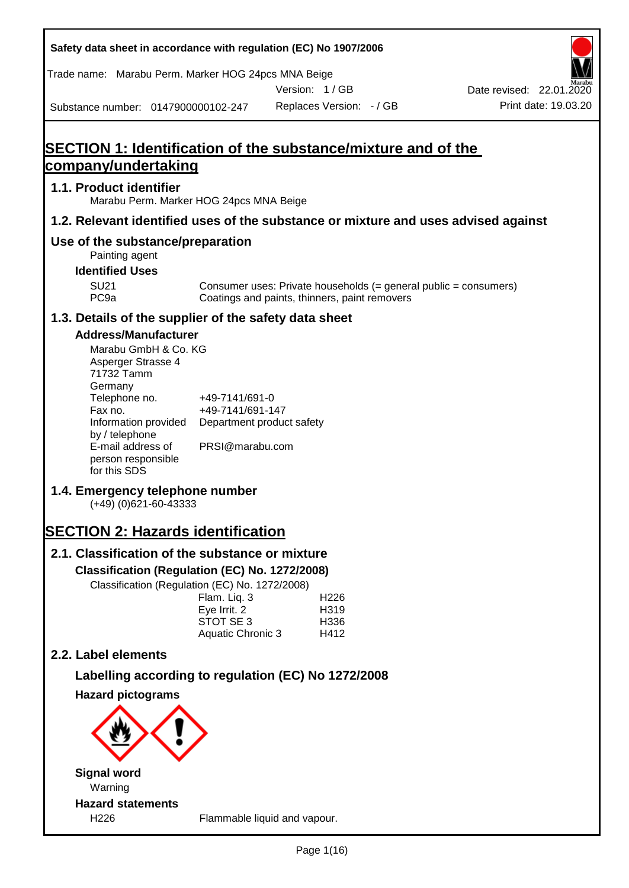|                                                                     | Safety data sheet in accordance with regulation (EC) No 1907/2006    |               |                          |                                                                                    |
|---------------------------------------------------------------------|----------------------------------------------------------------------|---------------|--------------------------|------------------------------------------------------------------------------------|
|                                                                     | Trade name: Marabu Perm. Marker HOG 24pcs MNA Beige                  |               |                          |                                                                                    |
|                                                                     | Substance number: 0147900000102-247                                  | Version: 1/GB | Replaces Version: - / GB | Date revised: 22.01.2020<br>Print date: 19.03.20                                   |
|                                                                     |                                                                      |               |                          |                                                                                    |
|                                                                     | <b>SECTION 1: Identification of the substance/mixture and of the</b> |               |                          |                                                                                    |
| company/undertaking                                                 |                                                                      |               |                          |                                                                                    |
| 1.1. Product identifier                                             | Marabu Perm. Marker HOG 24pcs MNA Beige                              |               |                          |                                                                                    |
|                                                                     |                                                                      |               |                          | 1.2. Relevant identified uses of the substance or mixture and uses advised against |
| Painting agent                                                      | Use of the substance/preparation                                     |               |                          |                                                                                    |
| <b>Identified Uses</b>                                              |                                                                      |               |                          |                                                                                    |
| <b>SU21</b><br>PC <sub>9a</sub>                                     | Coatings and paints, thinners, paint removers                        |               |                          | Consumer uses: Private households (= general public = consumers)                   |
|                                                                     | 1.3. Details of the supplier of the safety data sheet                |               |                          |                                                                                    |
| <b>Address/Manufacturer</b>                                         |                                                                      |               |                          |                                                                                    |
| Marabu GmbH & Co. KG<br>Asperger Strasse 4<br>71732 Tamm<br>Germany |                                                                      |               |                          |                                                                                    |
| Telephone no.                                                       | +49-7141/691-0                                                       |               |                          |                                                                                    |
| Fax no.<br>Information provided                                     | +49-7141/691-147<br>Department product safety                        |               |                          |                                                                                    |
| by / telephone<br>E-mail address of                                 | PRSI@marabu.com                                                      |               |                          |                                                                                    |
| person responsible<br>for this SDS                                  |                                                                      |               |                          |                                                                                    |
| $(+49)$ (0)621-60-43333                                             | 1.4. Emergency telephone number                                      |               |                          |                                                                                    |
|                                                                     | <b>SECTION 2: Hazards identification</b>                             |               |                          |                                                                                    |
|                                                                     | 2.1. Classification of the substance or mixture                      |               |                          |                                                                                    |
|                                                                     | Classification (Regulation (EC) No. 1272/2008)                       |               |                          |                                                                                    |
|                                                                     | Classification (Regulation (EC) No. 1272/2008)<br>Flam. Liq. 3       |               | H <sub>226</sub>         |                                                                                    |
|                                                                     | Eye Irrit. 2                                                         |               | H319                     |                                                                                    |
|                                                                     | STOT SE 3<br>Aquatic Chronic 3                                       |               | H336<br>H412             |                                                                                    |
| 2.2. Label elements                                                 |                                                                      |               |                          |                                                                                    |
|                                                                     | Labelling according to regulation (EC) No 1272/2008                  |               |                          |                                                                                    |
| <b>Hazard pictograms</b>                                            |                                                                      |               |                          |                                                                                    |
|                                                                     |                                                                      |               |                          |                                                                                    |
| <b>Signal word</b>                                                  |                                                                      |               |                          |                                                                                    |
| Warning                                                             |                                                                      |               |                          |                                                                                    |
| <b>Hazard statements</b><br>H226                                    | Flammable liquid and vapour.                                         |               |                          |                                                                                    |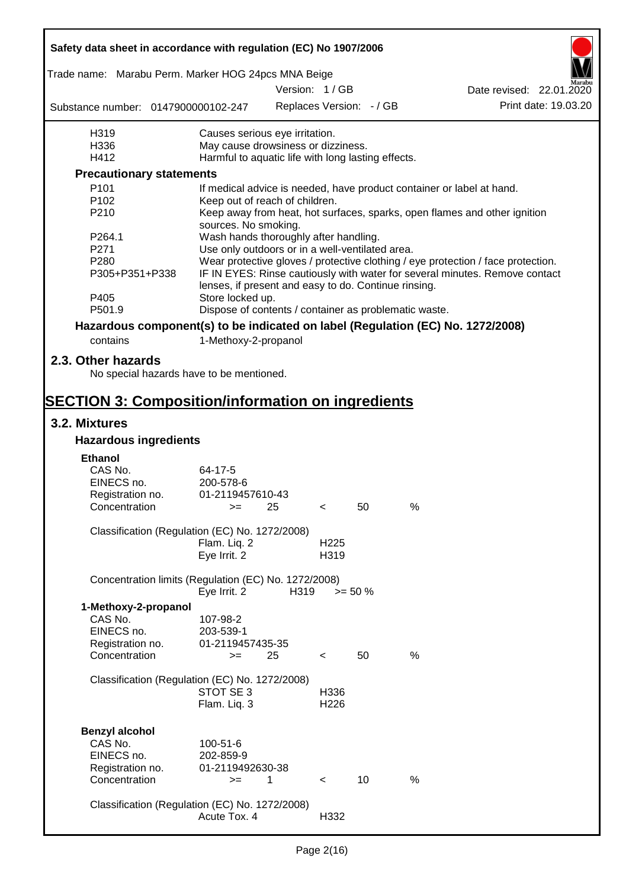| Safety data sheet in accordance with regulation (EC) No 1907/2006               |                                                                                          |      |                  |                          |      |                                                                                  |
|---------------------------------------------------------------------------------|------------------------------------------------------------------------------------------|------|------------------|--------------------------|------|----------------------------------------------------------------------------------|
| Trade name: Marabu Perm. Marker HOG 24pcs MNA Beige                             |                                                                                          |      |                  |                          |      |                                                                                  |
|                                                                                 |                                                                                          |      | Version: 1/GB    |                          |      | Date revised: 22.01.2020                                                         |
| Substance number: 0147900000102-247                                             |                                                                                          |      |                  | Replaces Version: - / GB |      | Print date: 19.03.20                                                             |
| H319                                                                            | Causes serious eye irritation.                                                           |      |                  |                          |      |                                                                                  |
| H336<br>H412                                                                    | May cause drowsiness or dizziness.<br>Harmful to aquatic life with long lasting effects. |      |                  |                          |      |                                                                                  |
|                                                                                 |                                                                                          |      |                  |                          |      |                                                                                  |
| <b>Precautionary statements</b>                                                 |                                                                                          |      |                  |                          |      |                                                                                  |
| P101                                                                            |                                                                                          |      |                  |                          |      | If medical advice is needed, have product container or label at hand.            |
| P102<br>P210                                                                    | Keep out of reach of children.                                                           |      |                  |                          |      | Keep away from heat, hot surfaces, sparks, open flames and other ignition        |
|                                                                                 | sources. No smoking.                                                                     |      |                  |                          |      |                                                                                  |
| P264.1                                                                          | Wash hands thoroughly after handling.                                                    |      |                  |                          |      |                                                                                  |
| P271                                                                            | Use only outdoors or in a well-ventilated area.                                          |      |                  |                          |      |                                                                                  |
| P280                                                                            |                                                                                          |      |                  |                          |      | Wear protective gloves / protective clothing / eye protection / face protection. |
| P305+P351+P338                                                                  | lenses, if present and easy to do. Continue rinsing.                                     |      |                  |                          |      | IF IN EYES: Rinse cautiously with water for several minutes. Remove contact      |
| P405                                                                            | Store locked up.                                                                         |      |                  |                          |      |                                                                                  |
| P501.9                                                                          | Dispose of contents / container as problematic waste.                                    |      |                  |                          |      |                                                                                  |
| Hazardous component(s) to be indicated on label (Regulation (EC) No. 1272/2008) |                                                                                          |      |                  |                          |      |                                                                                  |
| contains                                                                        | 1-Methoxy-2-propanol                                                                     |      |                  |                          |      |                                                                                  |
| 2.3. Other hazards                                                              |                                                                                          |      |                  |                          |      |                                                                                  |
| No special hazards have to be mentioned.                                        |                                                                                          |      |                  |                          |      |                                                                                  |
| <b>SECTION 3: Composition/information on ingredients</b>                        |                                                                                          |      |                  |                          |      |                                                                                  |
| 3.2. Mixtures                                                                   |                                                                                          |      |                  |                          |      |                                                                                  |
| <b>Hazardous ingredients</b>                                                    |                                                                                          |      |                  |                          |      |                                                                                  |
| <b>Ethanol</b>                                                                  |                                                                                          |      |                  |                          |      |                                                                                  |
| CAS No.                                                                         | 64-17-5                                                                                  |      |                  |                          |      |                                                                                  |
| EINECS no.                                                                      | 200-578-6                                                                                |      |                  |                          |      |                                                                                  |
| Registration no.                                                                | 01-2119457610-43                                                                         |      |                  |                          |      |                                                                                  |
| Concentration                                                                   | $>=$ 25                                                                                  |      | $\lt$            | 50                       | %    |                                                                                  |
| Classification (Regulation (EC) No. 1272/2008)                                  |                                                                                          |      |                  |                          |      |                                                                                  |
|                                                                                 | Flam. Liq. 2                                                                             |      | H <sub>225</sub> |                          |      |                                                                                  |
|                                                                                 | Eye Irrit. 2                                                                             |      | H319             |                          |      |                                                                                  |
| Concentration limits (Regulation (EC) No. 1272/2008)                            | Eye Irrit. 2                                                                             | H319 |                  |                          |      |                                                                                  |
|                                                                                 |                                                                                          |      |                  | $>= 50 \%$               |      |                                                                                  |
| 1-Methoxy-2-propanol                                                            |                                                                                          |      |                  |                          |      |                                                                                  |
| CAS No.                                                                         | 107-98-2                                                                                 |      |                  |                          |      |                                                                                  |
| EINECS no.                                                                      | 203-539-1                                                                                |      |                  |                          |      |                                                                                  |
| Registration no.                                                                | 01-2119457435-35                                                                         |      |                  |                          |      |                                                                                  |
| Concentration                                                                   | $>=$                                                                                     | 25   | $\,<\,$          | 50                       | %    |                                                                                  |
| Classification (Regulation (EC) No. 1272/2008)                                  |                                                                                          |      |                  |                          |      |                                                                                  |
|                                                                                 | STOT SE 3                                                                                |      | H336             |                          |      |                                                                                  |
|                                                                                 | Flam. Liq. 3                                                                             |      | H <sub>226</sub> |                          |      |                                                                                  |
|                                                                                 |                                                                                          |      |                  |                          |      |                                                                                  |
| <b>Benzyl alcohol</b>                                                           |                                                                                          |      |                  |                          |      |                                                                                  |
| CAS No.                                                                         | 100-51-6                                                                                 |      |                  |                          |      |                                                                                  |
| EINECS no.                                                                      | 202-859-9                                                                                |      |                  |                          |      |                                                                                  |
| Registration no.                                                                | 01-2119492630-38                                                                         |      |                  |                          |      |                                                                                  |
| Concentration                                                                   | $>=$                                                                                     | 1    | $\lt$            | 10                       | $\%$ |                                                                                  |
|                                                                                 |                                                                                          |      |                  |                          |      |                                                                                  |
| Classification (Regulation (EC) No. 1272/2008)                                  |                                                                                          |      |                  |                          |      |                                                                                  |
|                                                                                 | Acute Tox. 4                                                                             |      | H332             |                          |      |                                                                                  |
|                                                                                 |                                                                                          |      |                  |                          |      |                                                                                  |

 $\mathbf{r}$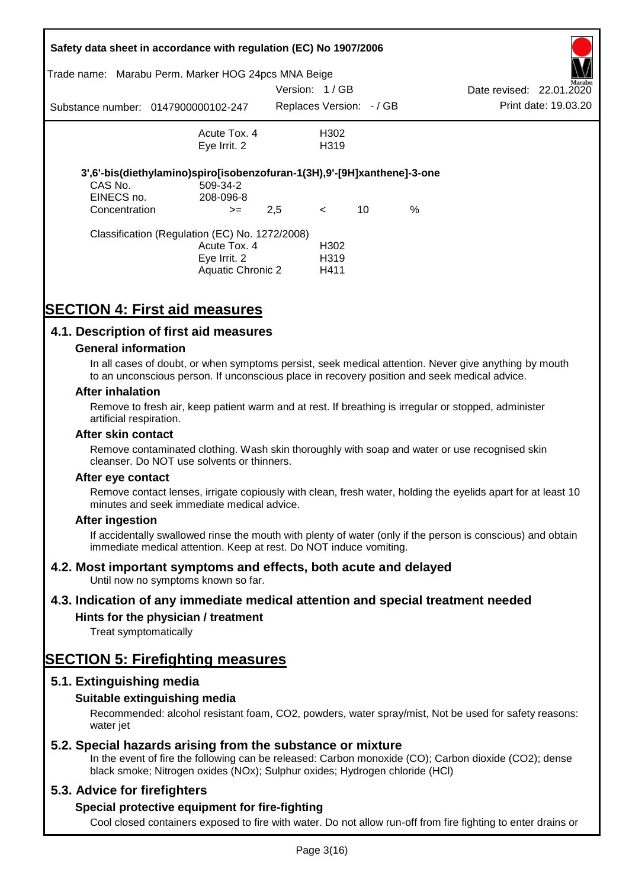|                                        | Safety data sheet in accordance with regulation (EC) No 1907/2006                                          |               |                                   |    |      |                          |                      |
|----------------------------------------|------------------------------------------------------------------------------------------------------------|---------------|-----------------------------------|----|------|--------------------------|----------------------|
|                                        | Trade name: Marabu Perm. Marker HOG 24pcs MNA Beige                                                        |               |                                   |    |      |                          | Marabu               |
|                                        |                                                                                                            | Version: 1/GB |                                   |    |      | Date revised: 22.01.2020 |                      |
|                                        | Substance number: 0147900000102-247                                                                        |               | Replaces Version: - / GB          |    |      |                          | Print date: 19.03.20 |
|                                        | Acute Tox. 4                                                                                               |               | H302                              |    |      |                          |                      |
|                                        | Eye Irrit. 2                                                                                               |               | H <sub>3</sub> 19                 |    |      |                          |                      |
| CAS No.<br>EINECS no.<br>Concentration | 3',6'-bis(diethylamino)spiro[isobenzofuran-1(3H),9'-[9H]xanthene]-3-one<br>509-34-2<br>208-096-8<br>$>=$   | 2,5           | $\prec$                           | 10 | $\%$ |                          |                      |
|                                        | Classification (Regulation (EC) No. 1272/2008)<br>Acute Tox. 4<br>Eye Irrit. 2<br><b>Aquatic Chronic 2</b> |               | H302<br>H <sub>3</sub> 19<br>H411 |    |      |                          |                      |

# **SECTION 4: First aid measures**

## **4.1. Description of first aid measures**

### **General information**

In all cases of doubt, or when symptoms persist, seek medical attention. Never give anything by mouth to an unconscious person. If unconscious place in recovery position and seek medical advice.

### **After inhalation**

Remove to fresh air, keep patient warm and at rest. If breathing is irregular or stopped, administer artificial respiration.

#### **After skin contact**

Remove contaminated clothing. Wash skin thoroughly with soap and water or use recognised skin cleanser. Do NOT use solvents or thinners.

#### **After eye contact**

Remove contact lenses, irrigate copiously with clean, fresh water, holding the eyelids apart for at least 10 minutes and seek immediate medical advice.

### **After ingestion**

If accidentally swallowed rinse the mouth with plenty of water (only if the person is conscious) and obtain immediate medical attention. Keep at rest. Do NOT induce vomiting.

## **4.2. Most important symptoms and effects, both acute and delayed**

Until now no symptoms known so far.

## **4.3. Indication of any immediate medical attention and special treatment needed**

## **Hints for the physician / treatment**

Treat symptomatically

## **SECTION 5: Firefighting measures**

## **5.1. Extinguishing media**

## **Suitable extinguishing media**

Recommended: alcohol resistant foam, CO2, powders, water spray/mist, Not be used for safety reasons: water *iet* 

## **5.2. Special hazards arising from the substance or mixture**

In the event of fire the following can be released: Carbon monoxide (CO); Carbon dioxide (CO2); dense black smoke; Nitrogen oxides (NOx); Sulphur oxides; Hydrogen chloride (HCl)

## **5.3. Advice for firefighters**

## **Special protective equipment for fire-fighting**

Cool closed containers exposed to fire with water. Do not allow run-off from fire fighting to enter drains or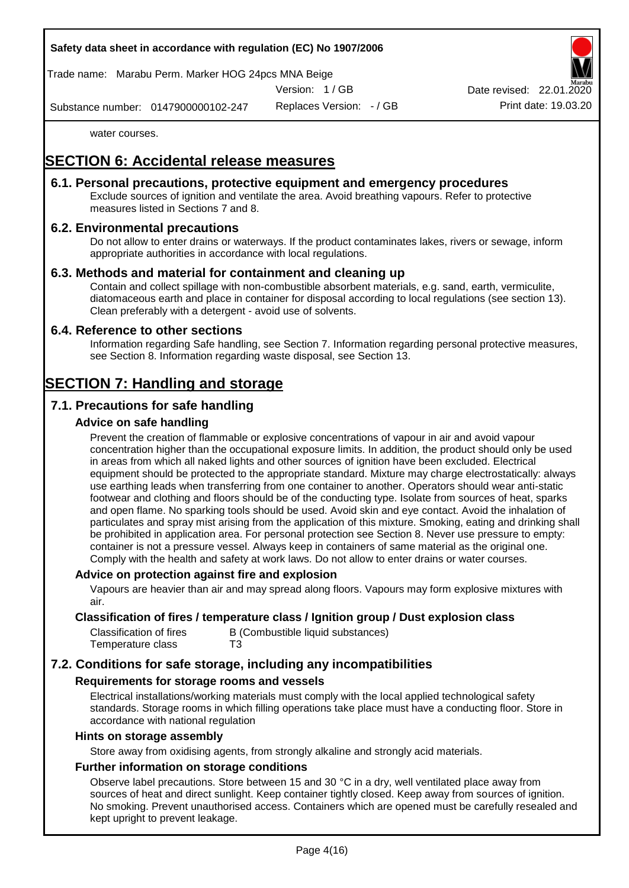Trade name: Marabu Perm. Marker HOG 24pcs MNA Beige

Version: 1 / GB

Substance number: 0147900000102-247

Replaces Version: - / GB Print date: 19.03.20

water courses.

# **SECTION 6: Accidental release measures**

## **6.1. Personal precautions, protective equipment and emergency procedures**

Exclude sources of ignition and ventilate the area. Avoid breathing vapours. Refer to protective measures listed in Sections 7 and 8.

## **6.2. Environmental precautions**

Do not allow to enter drains or waterways. If the product contaminates lakes, rivers or sewage, inform appropriate authorities in accordance with local regulations.

### **6.3. Methods and material for containment and cleaning up**

Contain and collect spillage with non-combustible absorbent materials, e.g. sand, earth, vermiculite, diatomaceous earth and place in container for disposal according to local regulations (see section 13). Clean preferably with a detergent - avoid use of solvents.

### **6.4. Reference to other sections**

Information regarding Safe handling, see Section 7. Information regarding personal protective measures, see Section 8. Information regarding waste disposal, see Section 13.

## **SECTION 7: Handling and storage**

## **7.1. Precautions for safe handling**

### **Advice on safe handling**

Prevent the creation of flammable or explosive concentrations of vapour in air and avoid vapour concentration higher than the occupational exposure limits. In addition, the product should only be used in areas from which all naked lights and other sources of ignition have been excluded. Electrical equipment should be protected to the appropriate standard. Mixture may charge electrostatically: always use earthing leads when transferring from one container to another. Operators should wear anti-static footwear and clothing and floors should be of the conducting type. Isolate from sources of heat, sparks and open flame. No sparking tools should be used. Avoid skin and eye contact. Avoid the inhalation of particulates and spray mist arising from the application of this mixture. Smoking, eating and drinking shall be prohibited in application area. For personal protection see Section 8. Never use pressure to empty: container is not a pressure vessel. Always keep in containers of same material as the original one. Comply with the health and safety at work laws. Do not allow to enter drains or water courses.

### **Advice on protection against fire and explosion**

Vapours are heavier than air and may spread along floors. Vapours may form explosive mixtures with air.

### **Classification of fires / temperature class / Ignition group / Dust explosion class**

| Classification of fires | B (Combustible liquid substances) |
|-------------------------|-----------------------------------|
| Temperature class       | T3                                |

## **7.2. Conditions for safe storage, including any incompatibilities**

### **Requirements for storage rooms and vessels**

Electrical installations/working materials must comply with the local applied technological safety standards. Storage rooms in which filling operations take place must have a conducting floor. Store in accordance with national regulation

#### **Hints on storage assembly**

Store away from oxidising agents, from strongly alkaline and strongly acid materials.

### **Further information on storage conditions**

Observe label precautions. Store between 15 and 30 °C in a dry, well ventilated place away from sources of heat and direct sunlight. Keep container tightly closed. Keep away from sources of ignition. No smoking. Prevent unauthorised access. Containers which are opened must be carefully resealed and kept upright to prevent leakage.



Date revised: 22.01.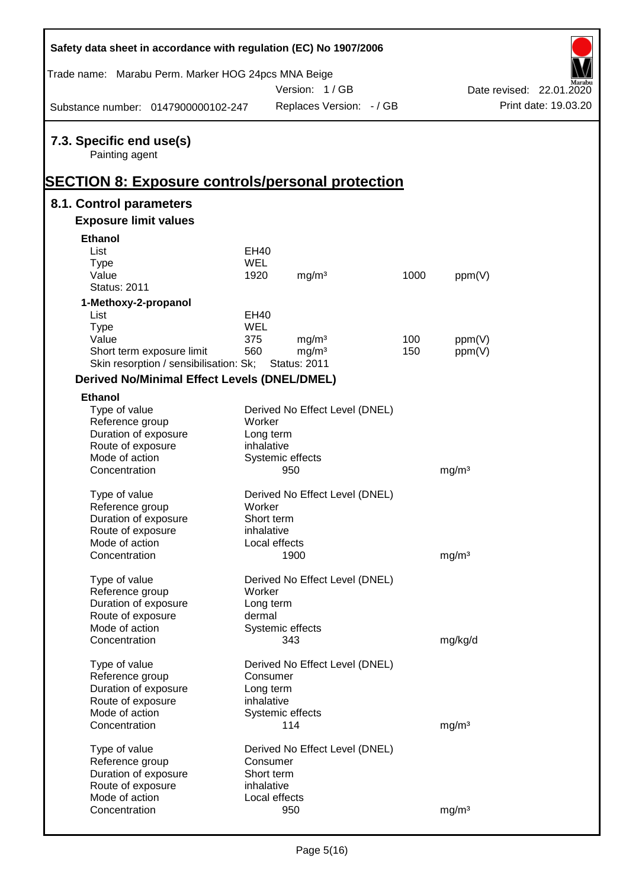| Safety data sheet in accordance with regulation (EC) No 1907/2006                                     |               |                                          |      |                   |                          |
|-------------------------------------------------------------------------------------------------------|---------------|------------------------------------------|------|-------------------|--------------------------|
| Trade name: Marabu Perm. Marker HOG 24pcs MNA Beige                                                   |               | Version: 1/GB                            |      |                   | Date revised: 22.01.2020 |
| Substance number: 0147900000102-247                                                                   |               | Replaces Version: - / GB                 |      |                   | Print date: 19.03.20     |
| 7.3. Specific end use(s)<br>Painting agent<br><b>SECTION 8: Exposure controls/personal protection</b> |               |                                          |      |                   |                          |
| 8.1. Control parameters                                                                               |               |                                          |      |                   |                          |
| <b>Exposure limit values</b>                                                                          |               |                                          |      |                   |                          |
| <b>Ethanol</b>                                                                                        |               |                                          |      |                   |                          |
| List                                                                                                  | <b>EH40</b>   |                                          |      |                   |                          |
| <b>Type</b>                                                                                           | <b>WEL</b>    |                                          |      |                   |                          |
| Value                                                                                                 | 1920          | mg/m <sup>3</sup>                        | 1000 | ppm(V)            |                          |
| <b>Status: 2011</b>                                                                                   |               |                                          |      |                   |                          |
| 1-Methoxy-2-propanol                                                                                  |               |                                          |      |                   |                          |
| List                                                                                                  | <b>EH40</b>   |                                          |      |                   |                          |
| <b>Type</b>                                                                                           | <b>WEL</b>    |                                          |      |                   |                          |
| Value                                                                                                 | 375           | mg/m <sup>3</sup>                        | 100  | ppm(V)            |                          |
| Short term exposure limit<br>Skin resorption / sensibilisation: Sk;                                   | 560           | mg/m <sup>3</sup><br><b>Status: 2011</b> | 150  | ppm(V)            |                          |
| <b>Derived No/Minimal Effect Levels (DNEL/DMEL)</b>                                                   |               |                                          |      |                   |                          |
| <b>Ethanol</b>                                                                                        |               |                                          |      |                   |                          |
| Type of value                                                                                         |               | Derived No Effect Level (DNEL)           |      |                   |                          |
| Reference group                                                                                       | Worker        |                                          |      |                   |                          |
| Duration of exposure                                                                                  | Long term     |                                          |      |                   |                          |
| Route of exposure                                                                                     | inhalative    |                                          |      |                   |                          |
| Mode of action                                                                                        |               | Systemic effects                         |      |                   |                          |
| Concentration                                                                                         |               | 950                                      |      | mg/m <sup>3</sup> |                          |
| Type of value                                                                                         |               | Derived No Effect Level (DNEL)           |      |                   |                          |
| Reference group                                                                                       | Worker        |                                          |      |                   |                          |
| Duration of exposure                                                                                  | Short term    |                                          |      |                   |                          |
| Route of exposure                                                                                     | inhalative    |                                          |      |                   |                          |
| Mode of action                                                                                        | Local effects |                                          |      |                   |                          |
| Concentration                                                                                         |               | 1900                                     |      | mg/m <sup>3</sup> |                          |
| Type of value                                                                                         |               | Derived No Effect Level (DNEL)           |      |                   |                          |
| Reference group                                                                                       | Worker        |                                          |      |                   |                          |
| Duration of exposure                                                                                  | Long term     |                                          |      |                   |                          |
| Route of exposure                                                                                     | dermal        |                                          |      |                   |                          |
| Mode of action                                                                                        |               | Systemic effects                         |      |                   |                          |
| Concentration                                                                                         |               | 343                                      |      | mg/kg/d           |                          |
| Type of value                                                                                         |               | Derived No Effect Level (DNEL)           |      |                   |                          |
| Reference group                                                                                       | Consumer      |                                          |      |                   |                          |
| Duration of exposure                                                                                  | Long term     |                                          |      |                   |                          |
| Route of exposure                                                                                     | inhalative    |                                          |      |                   |                          |
| Mode of action                                                                                        |               | Systemic effects                         |      |                   |                          |
| Concentration                                                                                         |               | 114                                      |      | mg/m <sup>3</sup> |                          |
| Type of value                                                                                         |               | Derived No Effect Level (DNEL)           |      |                   |                          |
| Reference group                                                                                       | Consumer      |                                          |      |                   |                          |
| Duration of exposure                                                                                  | Short term    |                                          |      |                   |                          |
| Route of exposure                                                                                     | inhalative    |                                          |      |                   |                          |
| Mode of action                                                                                        | Local effects |                                          |      |                   |                          |
| Concentration                                                                                         |               | 950                                      |      | mg/m <sup>3</sup> |                          |

 $\mathsf{r}$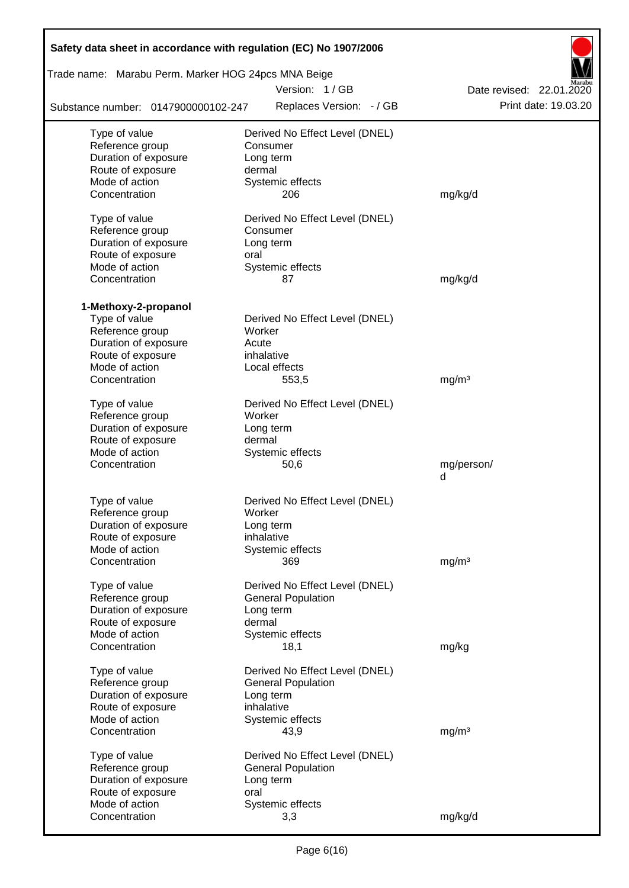| Safety data sheet in accordance with regulation (EC) No 1907/2006 |                                |                          |
|-------------------------------------------------------------------|--------------------------------|--------------------------|
| Trade name: Marabu Perm. Marker HOG 24pcs MNA Beige               |                                |                          |
|                                                                   | Version: 1/GB                  | Date revised: 22.01.2020 |
| Substance number: 0147900000102-247                               | Replaces Version: - / GB       | Print date: 19.03.20     |
| Type of value                                                     | Derived No Effect Level (DNEL) |                          |
| Reference group                                                   | Consumer                       |                          |
| Duration of exposure                                              | Long term                      |                          |
| Route of exposure                                                 | dermal                         |                          |
| Mode of action                                                    | Systemic effects               |                          |
| Concentration                                                     | 206                            | mg/kg/d                  |
| Type of value                                                     | Derived No Effect Level (DNEL) |                          |
| Reference group                                                   | Consumer                       |                          |
| Duration of exposure                                              | Long term                      |                          |
| Route of exposure                                                 | oral                           |                          |
| Mode of action                                                    | Systemic effects               |                          |
| Concentration                                                     | 87                             | mg/kg/d                  |
| 1-Methoxy-2-propanol                                              |                                |                          |
| Type of value                                                     | Derived No Effect Level (DNEL) |                          |
| Reference group                                                   | Worker                         |                          |
| Duration of exposure                                              | Acute                          |                          |
| Route of exposure                                                 | inhalative                     |                          |
| Mode of action                                                    | Local effects                  |                          |
| Concentration                                                     | 553,5                          | mg/m <sup>3</sup>        |
| Type of value                                                     | Derived No Effect Level (DNEL) |                          |
| Reference group                                                   | Worker                         |                          |
| Duration of exposure                                              | Long term                      |                          |
| Route of exposure                                                 | dermal                         |                          |
| Mode of action                                                    | Systemic effects               |                          |
| Concentration                                                     | 50,6                           | mg/person/               |
|                                                                   |                                | d                        |
| Type of value                                                     | Derived No Effect Level (DNEL) |                          |
| Reference group                                                   | Worker                         |                          |
| Duration of exposure                                              | Long term                      |                          |
| Route of exposure                                                 | inhalative                     |                          |
| Mode of action                                                    | Systemic effects               |                          |
| Concentration                                                     | 369                            | mg/m <sup>3</sup>        |
| Type of value                                                     | Derived No Effect Level (DNEL) |                          |
| Reference group                                                   | <b>General Population</b>      |                          |
| Duration of exposure                                              | Long term                      |                          |
| Route of exposure                                                 | dermal                         |                          |
| Mode of action                                                    | Systemic effects               |                          |
| Concentration                                                     | 18,1                           | mg/kg                    |
| Type of value                                                     | Derived No Effect Level (DNEL) |                          |
| Reference group                                                   | <b>General Population</b>      |                          |
| Duration of exposure                                              | Long term                      |                          |
| Route of exposure                                                 | inhalative                     |                          |
| Mode of action                                                    | Systemic effects               |                          |
| Concentration                                                     | 43,9                           | mg/m <sup>3</sup>        |
| Type of value                                                     | Derived No Effect Level (DNEL) |                          |
| Reference group                                                   | <b>General Population</b>      |                          |
| Duration of exposure                                              | Long term                      |                          |
| Route of exposure                                                 | oral                           |                          |
| Mode of action                                                    | Systemic effects               |                          |
| Concentration                                                     | 3,3                            | mg/kg/d                  |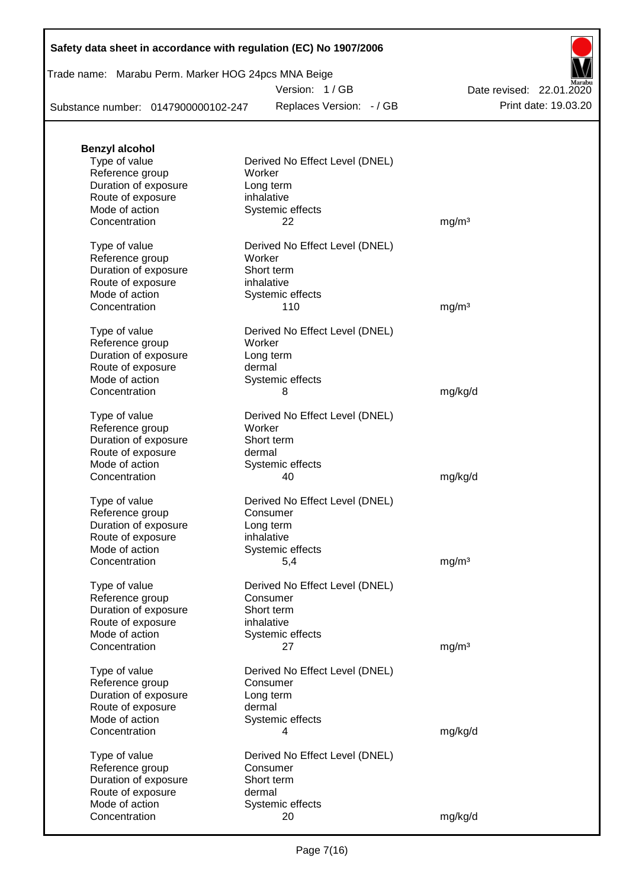## Trade name: Marabu Perm. Marker HOG 24pcs MNA Beige

Version: 1 / GB

Replaces Version: - / GB Print date: 19.03.20 Date revised: 22.01.2020

Substance number: 0147900000102-247

| <b>Benzyl alcohol</b>               |                                          |                   |
|-------------------------------------|------------------------------------------|-------------------|
| Type of value                       | Derived No Effect Level (DNEL)           |                   |
| Reference group                     | Worker                                   |                   |
| Duration of exposure                | Long term                                |                   |
| Route of exposure                   | inhalative                               |                   |
| Mode of action<br>Concentration     | Systemic effects<br>22                   | mg/m <sup>3</sup> |
|                                     |                                          |                   |
| Type of value                       | Derived No Effect Level (DNEL)           |                   |
| Reference group                     | Worker                                   |                   |
| Duration of exposure                | Short term                               |                   |
| Route of exposure                   | inhalative                               |                   |
| Mode of action                      | Systemic effects                         |                   |
| Concentration                       | 110                                      | mg/m <sup>3</sup> |
|                                     |                                          |                   |
| Type of value<br>Reference group    | Derived No Effect Level (DNEL)<br>Worker |                   |
| Duration of exposure                | Long term                                |                   |
| Route of exposure                   | dermal                                   |                   |
| Mode of action                      | Systemic effects                         |                   |
| Concentration                       | 8                                        | mg/kg/d           |
|                                     |                                          |                   |
| Type of value                       | Derived No Effect Level (DNEL)           |                   |
| Reference group                     | Worker                                   |                   |
| Duration of exposure                | Short term                               |                   |
| Route of exposure<br>Mode of action | dermal                                   |                   |
| Concentration                       | Systemic effects<br>40                   | mg/kg/d           |
|                                     |                                          |                   |
| Type of value                       | Derived No Effect Level (DNEL)           |                   |
| Reference group                     | Consumer                                 |                   |
| Duration of exposure                | Long term                                |                   |
| Route of exposure                   | inhalative                               |                   |
| Mode of action                      | Systemic effects                         |                   |
| Concentration                       | 5,4                                      | mg/m <sup>3</sup> |
|                                     | Derived No Effect Level (DNEL)           |                   |
| Type of value<br>Reference group    | Consumer                                 |                   |
| Duration of exposure                | Short term                               |                   |
| Route of exposure                   | inhalative                               |                   |
| Mode of action                      | Systemic effects                         |                   |
| Concentration                       | 27                                       | mg/m <sup>3</sup> |
|                                     |                                          |                   |
| Type of value                       | Derived No Effect Level (DNEL)           |                   |
| Reference group                     | Consumer                                 |                   |
| Duration of exposure                | Long term<br>dermal                      |                   |
| Route of exposure<br>Mode of action | Systemic effects                         |                   |
| Concentration                       | 4                                        | mg/kg/d           |
|                                     |                                          |                   |
| Type of value                       | Derived No Effect Level (DNEL)           |                   |
| Reference group                     | Consumer                                 |                   |
| Duration of exposure                | Short term                               |                   |
| Route of exposure                   | dermal                                   |                   |
| Mode of action                      | Systemic effects                         |                   |
| Concentration                       | 20                                       | mg/kg/d           |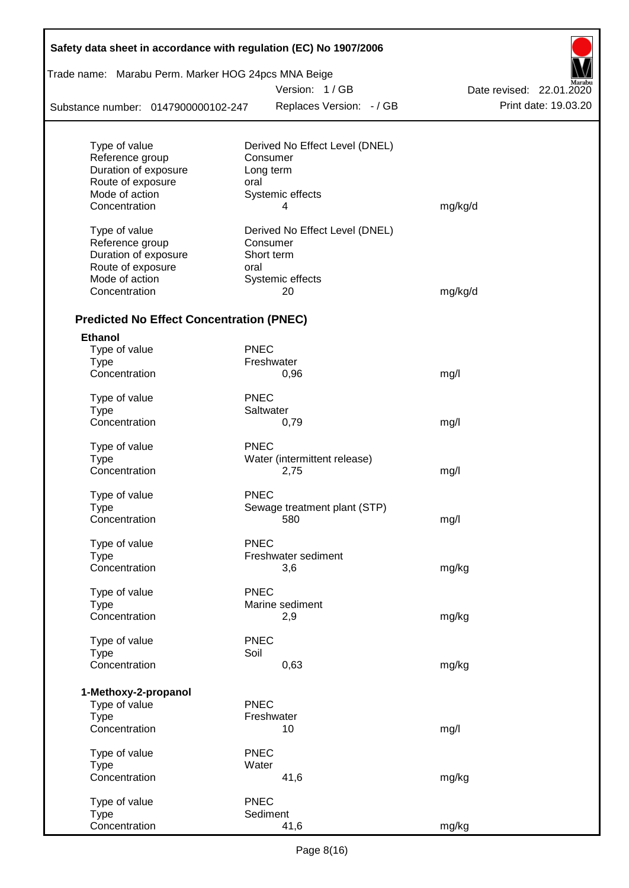| Trade name: Marabu Perm. Marker HOG 24pcs MNA Beige |             |                                |                          |
|-----------------------------------------------------|-------------|--------------------------------|--------------------------|
|                                                     |             | Version: 1/GB                  | Date revised: 22.01.2020 |
| Substance number: 0147900000102-247                 |             | Replaces Version: - / GB       | Print date: 19.03.20     |
|                                                     |             |                                |                          |
| Type of value                                       |             | Derived No Effect Level (DNEL) |                          |
| Reference group                                     |             | Consumer                       |                          |
| Duration of exposure<br>Route of exposure           | oral        | Long term                      |                          |
| Mode of action                                      |             | Systemic effects               |                          |
| Concentration                                       |             | 4                              | mg/kg/d                  |
|                                                     |             |                                |                          |
| Type of value                                       |             | Derived No Effect Level (DNEL) |                          |
| Reference group                                     |             | Consumer                       |                          |
| Duration of exposure                                |             | Short term                     |                          |
| Route of exposure                                   | oral        |                                |                          |
| Mode of action                                      |             | Systemic effects               |                          |
| Concentration                                       |             | 20                             | mg/kg/d                  |
| <b>Predicted No Effect Concentration (PNEC)</b>     |             |                                |                          |
| <b>Ethanol</b>                                      |             |                                |                          |
| Type of value                                       | <b>PNEC</b> |                                |                          |
| <b>Type</b>                                         |             | Freshwater                     |                          |
| Concentration                                       |             | 0,96                           | mg/l                     |
|                                                     |             |                                |                          |
| Type of value                                       | <b>PNEC</b> |                                |                          |
| <b>Type</b>                                         |             | Saltwater                      |                          |
| Concentration                                       |             | 0,79                           | mg/l                     |
| Type of value                                       | <b>PNEC</b> |                                |                          |
| Type                                                |             | Water (intermittent release)   |                          |
| Concentration                                       |             | 2,75                           | mg/l                     |
| Type of value                                       | <b>PNEC</b> |                                |                          |
| Type                                                |             | Sewage treatment plant (STP)   |                          |
| Concentration                                       |             | 580                            | mg/l                     |
|                                                     |             |                                |                          |
| Type of value                                       | <b>PNEC</b> |                                |                          |
| <b>Type</b>                                         |             | Freshwater sediment            |                          |
| Concentration                                       |             | 3,6                            | mg/kg                    |
|                                                     |             |                                |                          |
| Type of value                                       | <b>PNEC</b> |                                |                          |
| <b>Type</b>                                         |             | Marine sediment                |                          |
| Concentration                                       |             | 2,9                            | mg/kg                    |
| Type of value                                       | <b>PNEC</b> |                                |                          |
| <b>Type</b>                                         | Soil        |                                |                          |
| Concentration                                       |             | 0,63                           | mg/kg                    |
|                                                     |             |                                |                          |
| 1-Methoxy-2-propanol                                |             |                                |                          |
| Type of value                                       | <b>PNEC</b> |                                |                          |
| <b>Type</b><br>Concentration                        |             | Freshwater<br>10               |                          |
|                                                     |             |                                | mg/l                     |
| Type of value                                       | <b>PNEC</b> |                                |                          |
| <b>Type</b>                                         | Water       |                                |                          |
| Concentration                                       |             | 41,6                           | mg/kg                    |
| Type of value                                       | <b>PNEC</b> |                                |                          |
|                                                     |             |                                |                          |
| <b>Type</b>                                         |             | Sediment                       |                          |

Г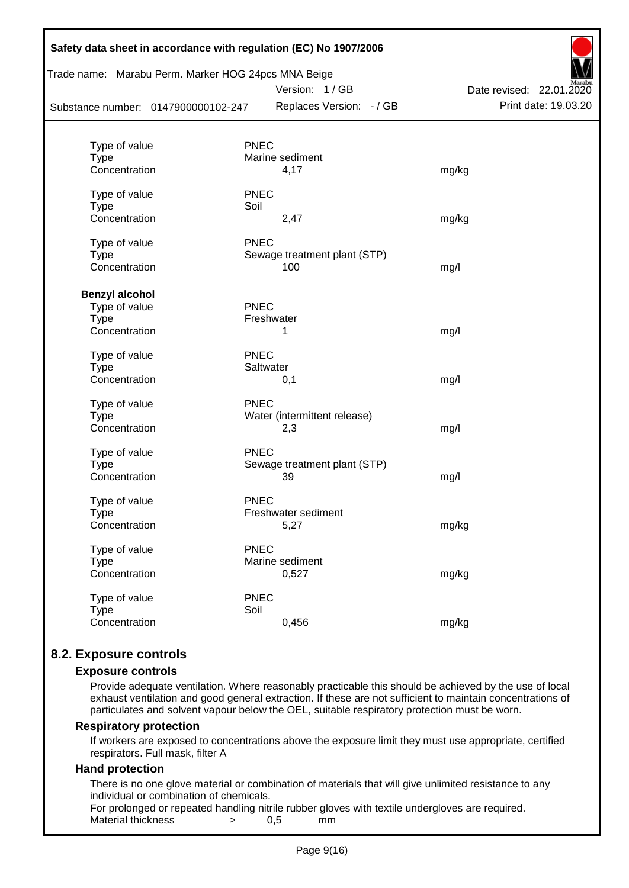| Safety data sheet in accordance with regulation (EC) No 1907/2006<br>Trade name: Marabu Perm. Marker HOG 24pcs MNA Beige<br>Substance number: 0147900000102-247 |             | Version: 1/GB<br>Replaces Version: - / GB | Date revised: 22.01.2020<br>Print date: 19.03.20 |
|-----------------------------------------------------------------------------------------------------------------------------------------------------------------|-------------|-------------------------------------------|--------------------------------------------------|
|                                                                                                                                                                 |             |                                           |                                                  |
| Type of value                                                                                                                                                   | <b>PNEC</b> |                                           |                                                  |
| <b>Type</b>                                                                                                                                                     |             | Marine sediment                           |                                                  |
| Concentration                                                                                                                                                   |             | 4,17                                      | mg/kg                                            |
| Type of value                                                                                                                                                   | <b>PNEC</b> |                                           |                                                  |
| <b>Type</b>                                                                                                                                                     | Soil        |                                           |                                                  |
| Concentration                                                                                                                                                   |             | 2,47                                      | mg/kg                                            |
| Type of value                                                                                                                                                   | <b>PNEC</b> |                                           |                                                  |
| <b>Type</b>                                                                                                                                                     |             | Sewage treatment plant (STP)              |                                                  |
| Concentration                                                                                                                                                   |             | 100                                       | mg/l                                             |
| <b>Benzyl alcohol</b>                                                                                                                                           |             |                                           |                                                  |
| Type of value                                                                                                                                                   | PNEC        |                                           |                                                  |
| <b>Type</b>                                                                                                                                                     | Freshwater  |                                           |                                                  |
| Concentration                                                                                                                                                   |             | 1                                         | mg/l                                             |
| Type of value                                                                                                                                                   | <b>PNEC</b> |                                           |                                                  |
| <b>Type</b>                                                                                                                                                     | Saltwater   |                                           |                                                  |
| Concentration                                                                                                                                                   |             | 0,1                                       | mg/l                                             |
| Type of value                                                                                                                                                   | <b>PNEC</b> |                                           |                                                  |
| <b>Type</b>                                                                                                                                                     |             | Water (intermittent release)              |                                                  |
| Concentration                                                                                                                                                   |             | 2,3                                       | mg/l                                             |
| Type of value                                                                                                                                                   | <b>PNEC</b> |                                           |                                                  |
| <b>Type</b>                                                                                                                                                     |             | Sewage treatment plant (STP)              |                                                  |
| Concentration                                                                                                                                                   |             | 39                                        | mg/l                                             |
| Type of value                                                                                                                                                   | <b>PNEC</b> |                                           |                                                  |
| <b>Type</b>                                                                                                                                                     |             | Freshwater sediment                       |                                                  |
| Concentration                                                                                                                                                   |             | 5,27                                      | mg/kg                                            |
| Type of value                                                                                                                                                   | <b>PNEC</b> |                                           |                                                  |
| <b>Type</b>                                                                                                                                                     |             | Marine sediment                           |                                                  |
| Concentration                                                                                                                                                   |             | 0,527                                     | mg/kg                                            |
| Type of value                                                                                                                                                   | <b>PNEC</b> |                                           |                                                  |
| <b>Type</b>                                                                                                                                                     | Soil        |                                           |                                                  |
| Concentration                                                                                                                                                   |             | 0,456                                     | mg/kg                                            |
|                                                                                                                                                                 |             |                                           |                                                  |

## **8.2. Exposure controls**

### **Exposure controls**

Provide adequate ventilation. Where reasonably practicable this should be achieved by the use of local exhaust ventilation and good general extraction. If these are not sufficient to maintain concentrations of particulates and solvent vapour below the OEL, suitable respiratory protection must be worn.

### **Respiratory protection**

If workers are exposed to concentrations above the exposure limit they must use appropriate, certified respirators. Full mask, filter A

### **Hand protection**

There is no one glove material or combination of materials that will give unlimited resistance to any individual or combination of chemicals.

For prolonged or repeated handling nitrile rubber gloves with textile undergloves are required. Material thickness  $\rightarrow$  0,5 mm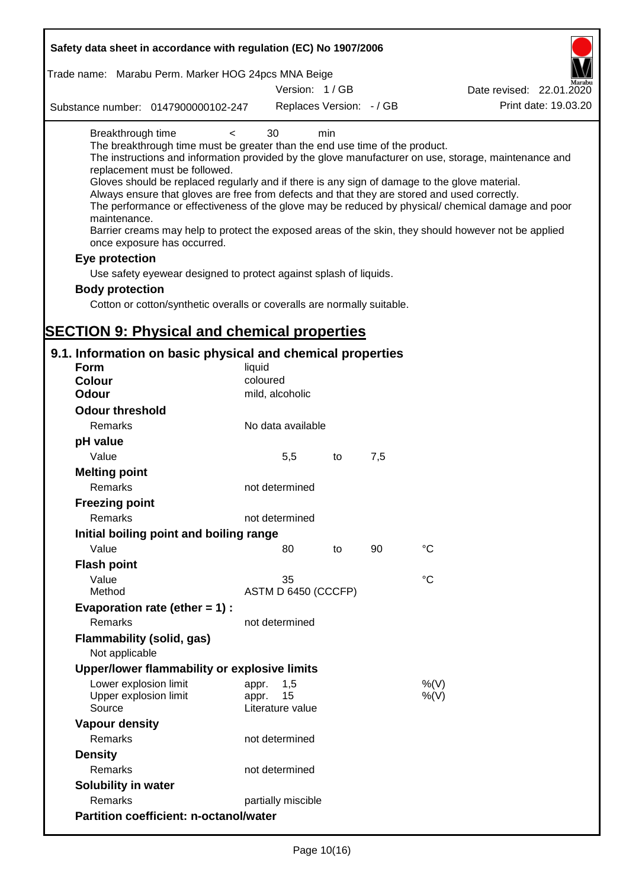| Safety data sheet in accordance with regulation (EC) No 1907/2006                                                                                                                                                                                                                                                                                                                                                                                                                                                              |                                                 |     |     |                                                                                                                                                                                                                                                                                                                    |
|--------------------------------------------------------------------------------------------------------------------------------------------------------------------------------------------------------------------------------------------------------------------------------------------------------------------------------------------------------------------------------------------------------------------------------------------------------------------------------------------------------------------------------|-------------------------------------------------|-----|-----|--------------------------------------------------------------------------------------------------------------------------------------------------------------------------------------------------------------------------------------------------------------------------------------------------------------------|
| Trade name: Marabu Perm. Marker HOG 24pcs MNA Beige                                                                                                                                                                                                                                                                                                                                                                                                                                                                            | Version: 1/GB                                   |     |     |                                                                                                                                                                                                                                                                                                                    |
|                                                                                                                                                                                                                                                                                                                                                                                                                                                                                                                                |                                                 |     |     | Date revised: 22.01.2020<br>Print date: 19.03.20                                                                                                                                                                                                                                                                   |
| Substance number: 0147900000102-247                                                                                                                                                                                                                                                                                                                                                                                                                                                                                            | Replaces Version: - / GB                        |     |     |                                                                                                                                                                                                                                                                                                                    |
| Breakthrough time<br>$\overline{\phantom{0}}$<br>The breakthrough time must be greater than the end use time of the product.<br>replacement must be followed.<br>Gloves should be replaced regularly and if there is any sign of damage to the glove material.<br>Always ensure that gloves are free from defects and that they are stored and used correctly.<br>maintenance.<br>once exposure has occurred.<br>Eye protection<br>Use safety eyewear designed to protect against splash of liquids.<br><b>Body protection</b> | 30                                              | min |     | The instructions and information provided by the glove manufacturer on use, storage, maintenance and<br>The performance or effectiveness of the glove may be reduced by physical/ chemical damage and poor<br>Barrier creams may help to protect the exposed areas of the skin, they should however not be applied |
| Cotton or cotton/synthetic overalls or coveralls are normally suitable.                                                                                                                                                                                                                                                                                                                                                                                                                                                        |                                                 |     |     |                                                                                                                                                                                                                                                                                                                    |
|                                                                                                                                                                                                                                                                                                                                                                                                                                                                                                                                |                                                 |     |     |                                                                                                                                                                                                                                                                                                                    |
| <b>SECTION 9: Physical and chemical properties</b>                                                                                                                                                                                                                                                                                                                                                                                                                                                                             |                                                 |     |     |                                                                                                                                                                                                                                                                                                                    |
| 9.1. Information on basic physical and chemical properties<br><b>Form</b>                                                                                                                                                                                                                                                                                                                                                                                                                                                      |                                                 |     |     |                                                                                                                                                                                                                                                                                                                    |
| <b>Colour</b>                                                                                                                                                                                                                                                                                                                                                                                                                                                                                                                  | liquid<br>coloured                              |     |     |                                                                                                                                                                                                                                                                                                                    |
| <b>Odour</b>                                                                                                                                                                                                                                                                                                                                                                                                                                                                                                                   | mild, alcoholic                                 |     |     |                                                                                                                                                                                                                                                                                                                    |
| <b>Odour threshold</b>                                                                                                                                                                                                                                                                                                                                                                                                                                                                                                         |                                                 |     |     |                                                                                                                                                                                                                                                                                                                    |
|                                                                                                                                                                                                                                                                                                                                                                                                                                                                                                                                |                                                 |     |     |                                                                                                                                                                                                                                                                                                                    |
| Remarks                                                                                                                                                                                                                                                                                                                                                                                                                                                                                                                        | No data available                               |     |     |                                                                                                                                                                                                                                                                                                                    |
| pH value                                                                                                                                                                                                                                                                                                                                                                                                                                                                                                                       |                                                 |     |     |                                                                                                                                                                                                                                                                                                                    |
| Value                                                                                                                                                                                                                                                                                                                                                                                                                                                                                                                          | 5,5                                             | to  | 7,5 |                                                                                                                                                                                                                                                                                                                    |
| <b>Melting point</b><br><b>Remarks</b>                                                                                                                                                                                                                                                                                                                                                                                                                                                                                         | not determined                                  |     |     |                                                                                                                                                                                                                                                                                                                    |
| <b>Freezing point</b>                                                                                                                                                                                                                                                                                                                                                                                                                                                                                                          |                                                 |     |     |                                                                                                                                                                                                                                                                                                                    |
| Remarks                                                                                                                                                                                                                                                                                                                                                                                                                                                                                                                        | not determined                                  |     |     |                                                                                                                                                                                                                                                                                                                    |
| Initial boiling point and boiling range                                                                                                                                                                                                                                                                                                                                                                                                                                                                                        |                                                 |     |     |                                                                                                                                                                                                                                                                                                                    |
| Value                                                                                                                                                                                                                                                                                                                                                                                                                                                                                                                          | 80                                              | to  | 90  | $\rm ^{\circ}C$                                                                                                                                                                                                                                                                                                    |
| <b>Flash point</b>                                                                                                                                                                                                                                                                                                                                                                                                                                                                                                             |                                                 |     |     |                                                                                                                                                                                                                                                                                                                    |
| Value                                                                                                                                                                                                                                                                                                                                                                                                                                                                                                                          | 35                                              |     |     | °C                                                                                                                                                                                                                                                                                                                 |
| Method                                                                                                                                                                                                                                                                                                                                                                                                                                                                                                                         | ASTM D 6450 (CCCFP)                             |     |     |                                                                                                                                                                                                                                                                                                                    |
| Evaporation rate (ether $= 1$ ) :                                                                                                                                                                                                                                                                                                                                                                                                                                                                                              |                                                 |     |     |                                                                                                                                                                                                                                                                                                                    |
| Remarks                                                                                                                                                                                                                                                                                                                                                                                                                                                                                                                        | not determined                                  |     |     |                                                                                                                                                                                                                                                                                                                    |
| Flammability (solid, gas)<br>Not applicable                                                                                                                                                                                                                                                                                                                                                                                                                                                                                    |                                                 |     |     |                                                                                                                                                                                                                                                                                                                    |
| Upper/lower flammability or explosive limits                                                                                                                                                                                                                                                                                                                                                                                                                                                                                   |                                                 |     |     |                                                                                                                                                                                                                                                                                                                    |
| Lower explosion limit<br>Upper explosion limit<br>Source                                                                                                                                                                                                                                                                                                                                                                                                                                                                       | 1,5<br>appr.<br>15<br>appr.<br>Literature value |     |     | %(V)<br>$%$ (V)                                                                                                                                                                                                                                                                                                    |
| <b>Vapour density</b>                                                                                                                                                                                                                                                                                                                                                                                                                                                                                                          |                                                 |     |     |                                                                                                                                                                                                                                                                                                                    |
| Remarks                                                                                                                                                                                                                                                                                                                                                                                                                                                                                                                        | not determined                                  |     |     |                                                                                                                                                                                                                                                                                                                    |
| <b>Density</b>                                                                                                                                                                                                                                                                                                                                                                                                                                                                                                                 |                                                 |     |     |                                                                                                                                                                                                                                                                                                                    |
| Remarks                                                                                                                                                                                                                                                                                                                                                                                                                                                                                                                        | not determined                                  |     |     |                                                                                                                                                                                                                                                                                                                    |
| <b>Solubility in water</b>                                                                                                                                                                                                                                                                                                                                                                                                                                                                                                     |                                                 |     |     |                                                                                                                                                                                                                                                                                                                    |
| Remarks                                                                                                                                                                                                                                                                                                                                                                                                                                                                                                                        | partially miscible                              |     |     |                                                                                                                                                                                                                                                                                                                    |
| <b>Partition coefficient: n-octanol/water</b>                                                                                                                                                                                                                                                                                                                                                                                                                                                                                  |                                                 |     |     |                                                                                                                                                                                                                                                                                                                    |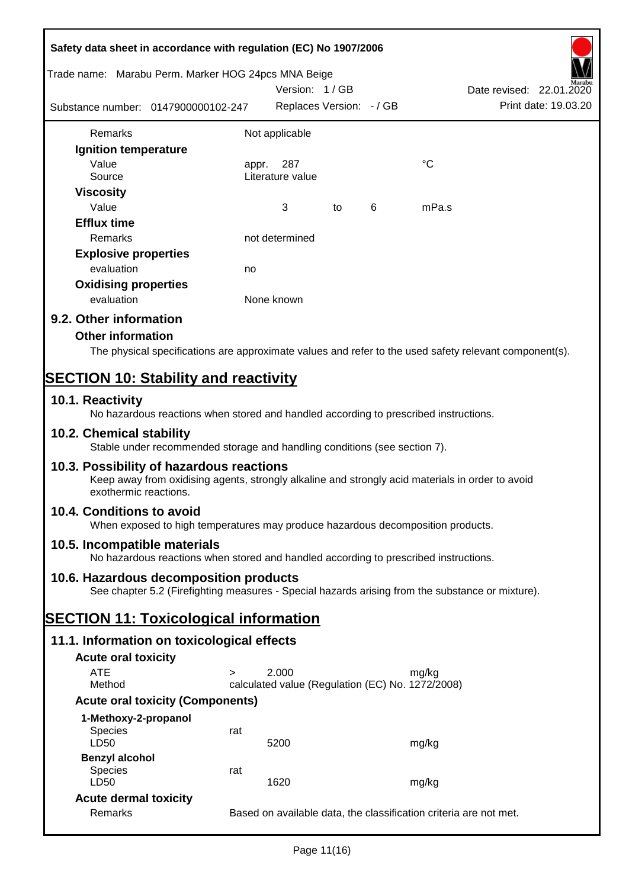| Safety data sheet in accordance with regulation (EC) No 1907/2006                                                                                                     |                                                                   |                                                  |    |   |       |                                                  |
|-----------------------------------------------------------------------------------------------------------------------------------------------------------------------|-------------------------------------------------------------------|--------------------------------------------------|----|---|-------|--------------------------------------------------|
| Trade name: Marabu Perm. Marker HOG 24pcs MNA Beige                                                                                                                   |                                                                   |                                                  |    |   |       |                                                  |
| Substance number: 0147900000102-247                                                                                                                                   |                                                                   | Version: 1/GB<br>Replaces Version: - / GB        |    |   |       | Date revised: 22.01.2020<br>Print date: 19.03.20 |
|                                                                                                                                                                       |                                                                   |                                                  |    |   |       |                                                  |
| Remarks                                                                                                                                                               |                                                                   | Not applicable                                   |    |   |       |                                                  |
| Ignition temperature                                                                                                                                                  |                                                                   |                                                  |    |   |       |                                                  |
| Value<br>Source                                                                                                                                                       | appr.                                                             | 287<br>Literature value                          |    |   | °C    |                                                  |
| <b>Viscosity</b>                                                                                                                                                      |                                                                   |                                                  |    |   |       |                                                  |
| Value                                                                                                                                                                 |                                                                   | 3                                                | to | 6 | mPa.s |                                                  |
| <b>Efflux time</b>                                                                                                                                                    |                                                                   |                                                  |    |   |       |                                                  |
| Remarks                                                                                                                                                               |                                                                   | not determined                                   |    |   |       |                                                  |
| <b>Explosive properties</b>                                                                                                                                           |                                                                   |                                                  |    |   |       |                                                  |
| evaluation                                                                                                                                                            | no                                                                |                                                  |    |   |       |                                                  |
| <b>Oxidising properties</b>                                                                                                                                           |                                                                   |                                                  |    |   |       |                                                  |
| evaluation                                                                                                                                                            |                                                                   | None known                                       |    |   |       |                                                  |
| 9.2. Other information                                                                                                                                                |                                                                   |                                                  |    |   |       |                                                  |
| <b>Other information</b>                                                                                                                                              |                                                                   |                                                  |    |   |       |                                                  |
| The physical specifications are approximate values and refer to the used safety relevant component(s).                                                                |                                                                   |                                                  |    |   |       |                                                  |
| <b>SECTION 10: Stability and reactivity</b>                                                                                                                           |                                                                   |                                                  |    |   |       |                                                  |
| 10.1. Reactivity<br>No hazardous reactions when stored and handled according to prescribed instructions.                                                              |                                                                   |                                                  |    |   |       |                                                  |
| 10.2. Chemical stability<br>Stable under recommended storage and handling conditions (see section 7).                                                                 |                                                                   |                                                  |    |   |       |                                                  |
| 10.3. Possibility of hazardous reactions<br>Keep away from oxidising agents, strongly alkaline and strongly acid materials in order to avoid<br>exothermic reactions. |                                                                   |                                                  |    |   |       |                                                  |
| 10.4. Conditions to avoid<br>When exposed to high temperatures may produce hazardous decomposition products.                                                          |                                                                   |                                                  |    |   |       |                                                  |
| 10.5. Incompatible materials<br>No hazardous reactions when stored and handled according to prescribed instructions.                                                  |                                                                   |                                                  |    |   |       |                                                  |
| 10.6. Hazardous decomposition products<br>See chapter 5.2 (Firefighting measures - Special hazards arising from the substance or mixture).                            |                                                                   |                                                  |    |   |       |                                                  |
| <b>SECTION 11: Toxicological information</b>                                                                                                                          |                                                                   |                                                  |    |   |       |                                                  |
| 11.1. Information on toxicological effects                                                                                                                            |                                                                   |                                                  |    |   |       |                                                  |
| <b>Acute oral toxicity</b>                                                                                                                                            |                                                                   |                                                  |    |   |       |                                                  |
| <b>ATE</b>                                                                                                                                                            | $\geq$                                                            | 2.000                                            |    |   | mg/kg |                                                  |
| Method                                                                                                                                                                |                                                                   | calculated value (Regulation (EC) No. 1272/2008) |    |   |       |                                                  |
| <b>Acute oral toxicity (Components)</b>                                                                                                                               |                                                                   |                                                  |    |   |       |                                                  |
| 1-Methoxy-2-propanol                                                                                                                                                  |                                                                   |                                                  |    |   |       |                                                  |
| Species<br>LD50                                                                                                                                                       | rat                                                               | 5200                                             |    |   | mg/kg |                                                  |
| <b>Benzyl alcohol</b>                                                                                                                                                 |                                                                   |                                                  |    |   |       |                                                  |
| <b>Species</b><br>LD50                                                                                                                                                | rat                                                               | 1620                                             |    |   | mg/kg |                                                  |
| <b>Acute dermal toxicity</b>                                                                                                                                          |                                                                   |                                                  |    |   |       |                                                  |
| Remarks                                                                                                                                                               | Based on available data, the classification criteria are not met. |                                                  |    |   |       |                                                  |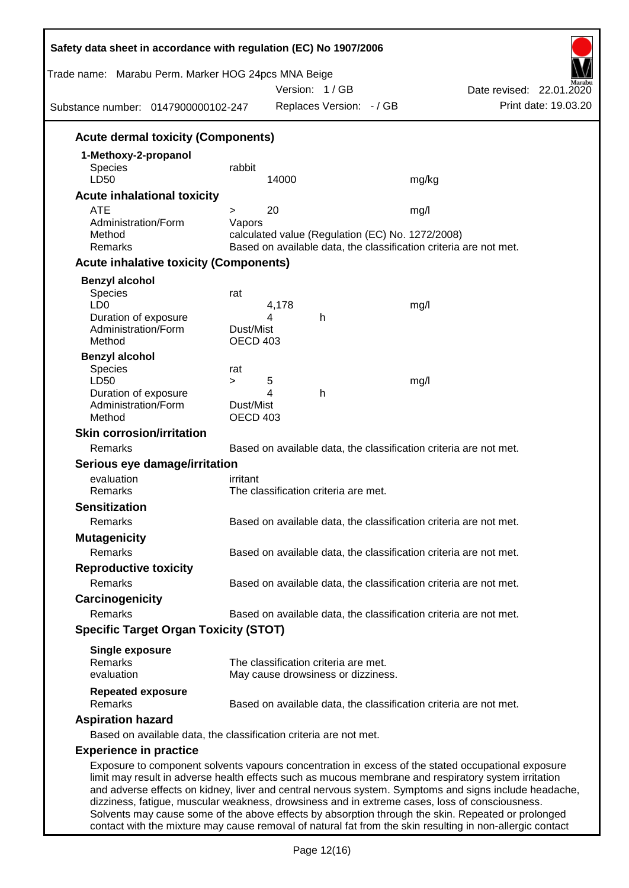|                                                                                                      |                 | Trade name: Marabu Perm. Marker HOG 24pcs MNA Beige<br>Version: 1/GB | Date revised: 22.01.2020<br>Print date: 19.03.20                                                   |
|------------------------------------------------------------------------------------------------------|-----------------|----------------------------------------------------------------------|----------------------------------------------------------------------------------------------------|
| Substance number: 0147900000102-247                                                                  |                 | Replaces Version: - / GB                                             |                                                                                                    |
| <b>Acute dermal toxicity (Components)</b>                                                            |                 |                                                                      |                                                                                                    |
| 1-Methoxy-2-propanol                                                                                 |                 |                                                                      |                                                                                                    |
| <b>Species</b>                                                                                       | rabbit          |                                                                      |                                                                                                    |
| LD50                                                                                                 |                 | 14000                                                                | mg/kg                                                                                              |
| <b>Acute inhalational toxicity</b>                                                                   |                 |                                                                      |                                                                                                    |
| <b>ATE</b><br>Administration/Form                                                                    | ><br>Vapors     | 20                                                                   | mg/l                                                                                               |
| Method                                                                                               |                 | calculated value (Regulation (EC) No. 1272/2008)                     |                                                                                                    |
| Remarks                                                                                              |                 |                                                                      | Based on available data, the classification criteria are not met.                                  |
| <b>Acute inhalative toxicity (Components)</b>                                                        |                 |                                                                      |                                                                                                    |
| <b>Benzyl alcohol</b>                                                                                |                 |                                                                      |                                                                                                    |
| Species                                                                                              | rat             |                                                                      |                                                                                                    |
| LD <sub>0</sub>                                                                                      |                 | 4,178                                                                | mg/l                                                                                               |
| Duration of exposure<br>Administration/Form                                                          | Dust/Mist       | 4<br>h                                                               |                                                                                                    |
| Method                                                                                               | <b>OECD 403</b> |                                                                      |                                                                                                    |
| <b>Benzyl alcohol</b>                                                                                |                 |                                                                      |                                                                                                    |
| Species                                                                                              | rat             |                                                                      |                                                                                                    |
| LD50                                                                                                 | $\geq$          | 5                                                                    | mg/l                                                                                               |
| Duration of exposure<br>Administration/Form                                                          | Dust/Mist       | 4<br>h                                                               |                                                                                                    |
| Method                                                                                               | <b>OECD 403</b> |                                                                      |                                                                                                    |
| <b>Skin corrosion/irritation</b>                                                                     |                 |                                                                      |                                                                                                    |
| Remarks                                                                                              |                 |                                                                      | Based on available data, the classification criteria are not met.                                  |
| Serious eye damage/irritation                                                                        |                 |                                                                      |                                                                                                    |
| evaluation                                                                                           | irritant        |                                                                      |                                                                                                    |
| Remarks                                                                                              |                 | The classification criteria are met.                                 |                                                                                                    |
| <b>Sensitization</b>                                                                                 |                 |                                                                      |                                                                                                    |
| Remarks                                                                                              |                 |                                                                      | Based on available data, the classification criteria are not met.                                  |
| <b>Mutagenicity</b>                                                                                  |                 |                                                                      |                                                                                                    |
| Remarks                                                                                              |                 |                                                                      | Based on available data, the classification criteria are not met.                                  |
| <b>Reproductive toxicity</b>                                                                         |                 |                                                                      |                                                                                                    |
| Remarks                                                                                              |                 |                                                                      | Based on available data, the classification criteria are not met.                                  |
| Carcinogenicity                                                                                      |                 |                                                                      |                                                                                                    |
| Remarks                                                                                              |                 |                                                                      | Based on available data, the classification criteria are not met.                                  |
| <b>Specific Target Organ Toxicity (STOT)</b>                                                         |                 |                                                                      |                                                                                                    |
|                                                                                                      |                 |                                                                      |                                                                                                    |
| <b>Single exposure</b><br>Remarks                                                                    |                 | The classification criteria are met.                                 |                                                                                                    |
| evaluation                                                                                           |                 | May cause drowsiness or dizziness.                                   |                                                                                                    |
| <b>Repeated exposure</b>                                                                             |                 |                                                                      |                                                                                                    |
| Remarks                                                                                              |                 |                                                                      | Based on available data, the classification criteria are not met.                                  |
| <b>Aspiration hazard</b>                                                                             |                 |                                                                      |                                                                                                    |
| Based on available data, the classification criteria are not met.                                    |                 |                                                                      |                                                                                                    |
| <b>Experience in practice</b>                                                                        |                 |                                                                      |                                                                                                    |
| limit may result in adverse health effects such as mucous membrane and respiratory system irritation |                 |                                                                      | Exposure to component solvents vapours concentration in excess of the stated occupational exposure |

Solvents may cause some of the above effects by absorption through the skin. Repeated or prolonged contact with the mixture may cause removal of natural fat from the skin resulting in non-allergic contact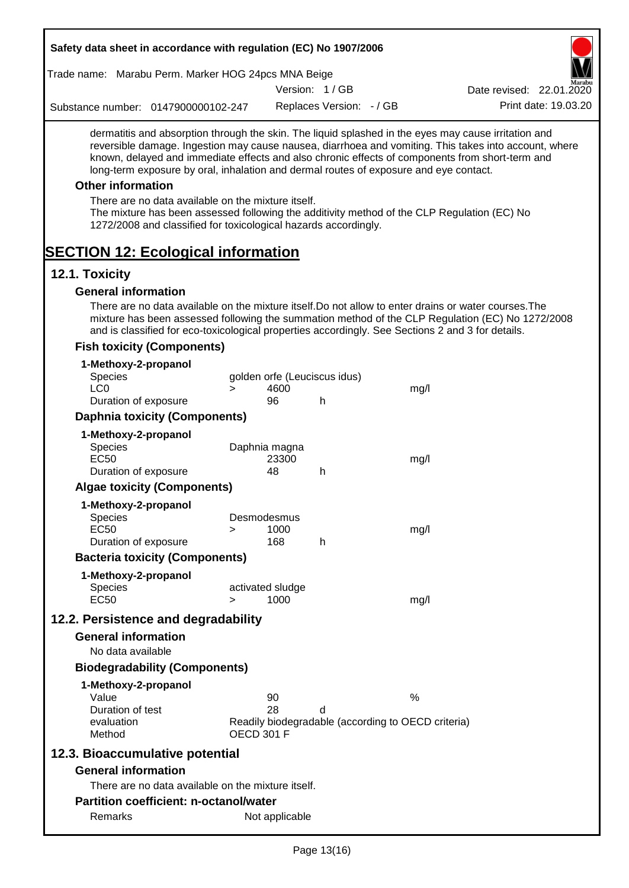| Safety data sheet in accordance with regulation (EC) No 1907/2006                                                                                                                                                                                                                                                                                                                                                                                                                                                                                    |        |                              |                          |                                                    |                                                                                                       |
|------------------------------------------------------------------------------------------------------------------------------------------------------------------------------------------------------------------------------------------------------------------------------------------------------------------------------------------------------------------------------------------------------------------------------------------------------------------------------------------------------------------------------------------------------|--------|------------------------------|--------------------------|----------------------------------------------------|-------------------------------------------------------------------------------------------------------|
| Trade name: Marabu Perm. Marker HOG 24pcs MNA Beige                                                                                                                                                                                                                                                                                                                                                                                                                                                                                                  |        |                              |                          |                                                    |                                                                                                       |
|                                                                                                                                                                                                                                                                                                                                                                                                                                                                                                                                                      |        |                              | Version: 1/GB            |                                                    | Date revised: 22.01.2020                                                                              |
| Substance number: 0147900000102-247                                                                                                                                                                                                                                                                                                                                                                                                                                                                                                                  |        |                              | Replaces Version: - / GB |                                                    | Print date: 19.03.20                                                                                  |
| dermatitis and absorption through the skin. The liquid splashed in the eyes may cause irritation and<br>known, delayed and immediate effects and also chronic effects of components from short-term and<br>long-term exposure by oral, inhalation and dermal routes of exposure and eye contact.<br><b>Other information</b><br>There are no data available on the mixture itself.<br>The mixture has been assessed following the additivity method of the CLP Regulation (EC) No<br>1272/2008 and classified for toxicological hazards accordingly. |        |                              |                          |                                                    | reversible damage. Ingestion may cause nausea, diarrhoea and vomiting. This takes into account, where |
| <b>SECTION 12: Ecological information</b>                                                                                                                                                                                                                                                                                                                                                                                                                                                                                                            |        |                              |                          |                                                    |                                                                                                       |
| 12.1. Toxicity                                                                                                                                                                                                                                                                                                                                                                                                                                                                                                                                       |        |                              |                          |                                                    |                                                                                                       |
| <b>General information</b><br>There are no data available on the mixture itself. Do not allow to enter drains or water courses. The<br>and is classified for eco-toxicological properties accordingly. See Sections 2 and 3 for details.                                                                                                                                                                                                                                                                                                             |        |                              |                          |                                                    | mixture has been assessed following the summation method of the CLP Regulation (EC) No 1272/2008      |
| <b>Fish toxicity (Components)</b>                                                                                                                                                                                                                                                                                                                                                                                                                                                                                                                    |        |                              |                          |                                                    |                                                                                                       |
| 1-Methoxy-2-propanol<br>Species                                                                                                                                                                                                                                                                                                                                                                                                                                                                                                                      |        | golden orfe (Leuciscus idus) |                          |                                                    |                                                                                                       |
| LC <sub>0</sub>                                                                                                                                                                                                                                                                                                                                                                                                                                                                                                                                      | $\geq$ | 4600                         |                          | mg/l                                               |                                                                                                       |
| Duration of exposure                                                                                                                                                                                                                                                                                                                                                                                                                                                                                                                                 |        | 96                           | h                        |                                                    |                                                                                                       |
| <b>Daphnia toxicity (Components)</b>                                                                                                                                                                                                                                                                                                                                                                                                                                                                                                                 |        |                              |                          |                                                    |                                                                                                       |
| 1-Methoxy-2-propanol                                                                                                                                                                                                                                                                                                                                                                                                                                                                                                                                 |        |                              |                          |                                                    |                                                                                                       |
| Species                                                                                                                                                                                                                                                                                                                                                                                                                                                                                                                                              |        | Daphnia magna                |                          |                                                    |                                                                                                       |
| <b>EC50</b><br>Duration of exposure                                                                                                                                                                                                                                                                                                                                                                                                                                                                                                                  |        | 23300<br>48                  | h                        | mg/l                                               |                                                                                                       |
| <b>Algae toxicity (Components)</b>                                                                                                                                                                                                                                                                                                                                                                                                                                                                                                                   |        |                              |                          |                                                    |                                                                                                       |
|                                                                                                                                                                                                                                                                                                                                                                                                                                                                                                                                                      |        |                              |                          |                                                    |                                                                                                       |
| 1-Methoxy-2-propanol<br><b>Species</b>                                                                                                                                                                                                                                                                                                                                                                                                                                                                                                               |        | Desmodesmus                  |                          |                                                    |                                                                                                       |
| <b>EC50</b>                                                                                                                                                                                                                                                                                                                                                                                                                                                                                                                                          | >      | 1000                         |                          | mg/l                                               |                                                                                                       |
| Duration of exposure                                                                                                                                                                                                                                                                                                                                                                                                                                                                                                                                 |        | 168                          | h                        |                                                    |                                                                                                       |
| <b>Bacteria toxicity (Components)</b>                                                                                                                                                                                                                                                                                                                                                                                                                                                                                                                |        |                              |                          |                                                    |                                                                                                       |
| 1-Methoxy-2-propanol                                                                                                                                                                                                                                                                                                                                                                                                                                                                                                                                 |        |                              |                          |                                                    |                                                                                                       |
| <b>Species</b>                                                                                                                                                                                                                                                                                                                                                                                                                                                                                                                                       |        | activated sludge             |                          |                                                    |                                                                                                       |
| <b>EC50</b>                                                                                                                                                                                                                                                                                                                                                                                                                                                                                                                                          | $\geq$ | 1000                         |                          | mg/l                                               |                                                                                                       |
| 12.2. Persistence and degradability                                                                                                                                                                                                                                                                                                                                                                                                                                                                                                                  |        |                              |                          |                                                    |                                                                                                       |
| <b>General information</b>                                                                                                                                                                                                                                                                                                                                                                                                                                                                                                                           |        |                              |                          |                                                    |                                                                                                       |
| No data available                                                                                                                                                                                                                                                                                                                                                                                                                                                                                                                                    |        |                              |                          |                                                    |                                                                                                       |
| <b>Biodegradability (Components)</b>                                                                                                                                                                                                                                                                                                                                                                                                                                                                                                                 |        |                              |                          |                                                    |                                                                                                       |
| 1-Methoxy-2-propanol                                                                                                                                                                                                                                                                                                                                                                                                                                                                                                                                 |        |                              |                          |                                                    |                                                                                                       |
| Value                                                                                                                                                                                                                                                                                                                                                                                                                                                                                                                                                |        | 90                           |                          | $\%$                                               |                                                                                                       |
| Duration of test<br>evaluation                                                                                                                                                                                                                                                                                                                                                                                                                                                                                                                       |        | 28                           | d                        | Readily biodegradable (according to OECD criteria) |                                                                                                       |
| Method                                                                                                                                                                                                                                                                                                                                                                                                                                                                                                                                               |        | <b>OECD 301 F</b>            |                          |                                                    |                                                                                                       |
| 12.3. Bioaccumulative potential                                                                                                                                                                                                                                                                                                                                                                                                                                                                                                                      |        |                              |                          |                                                    |                                                                                                       |
| <b>General information</b>                                                                                                                                                                                                                                                                                                                                                                                                                                                                                                                           |        |                              |                          |                                                    |                                                                                                       |
| There are no data available on the mixture itself.                                                                                                                                                                                                                                                                                                                                                                                                                                                                                                   |        |                              |                          |                                                    |                                                                                                       |
| <b>Partition coefficient: n-octanol/water</b>                                                                                                                                                                                                                                                                                                                                                                                                                                                                                                        |        |                              |                          |                                                    |                                                                                                       |
| Remarks                                                                                                                                                                                                                                                                                                                                                                                                                                                                                                                                              |        | Not applicable               |                          |                                                    |                                                                                                       |
|                                                                                                                                                                                                                                                                                                                                                                                                                                                                                                                                                      |        |                              |                          |                                                    |                                                                                                       |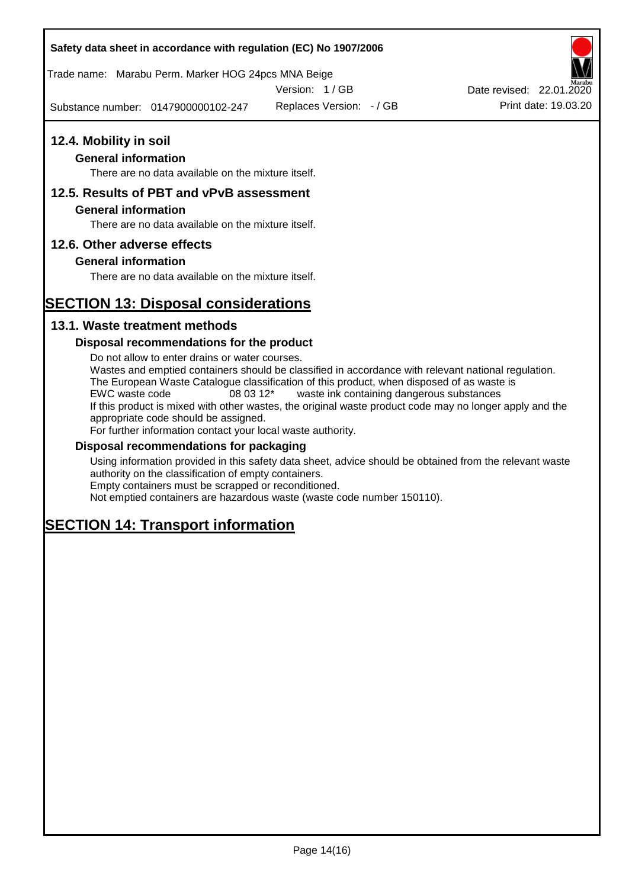Trade name: Marabu Perm. Marker HOG 24pcs MNA Beige

Version: 1 / GB

Substance number: 0147900000102-247

Replaces Version: - / GB Print date: 19.03.20 Date revised: 22.01.2020

## **12.4. Mobility in soil**

## **General information**

There are no data available on the mixture itself.

## **12.5. Results of PBT and vPvB assessment**

### **General information**

There are no data available on the mixture itself.

## **12.6. Other adverse effects**

## **General information**

There are no data available on the mixture itself.

# **SECTION 13: Disposal considerations**

## **13.1. Waste treatment methods**

## **Disposal recommendations for the product**

Do not allow to enter drains or water courses. Wastes and emptied containers should be classified in accordance with relevant national regulation. The European Waste Catalogue classification of this product, when disposed of as waste is EWC waste code 08 03 12\* waste ink containing dangerous substances If this product is mixed with other wastes, the original waste product code may no longer apply and the appropriate code should be assigned. For further information contact your local waste authority.

### **Disposal recommendations for packaging**

Using information provided in this safety data sheet, advice should be obtained from the relevant waste authority on the classification of empty containers. Empty containers must be scrapped or reconditioned.

Not emptied containers are hazardous waste (waste code number 150110).

# **SECTION 14: Transport information**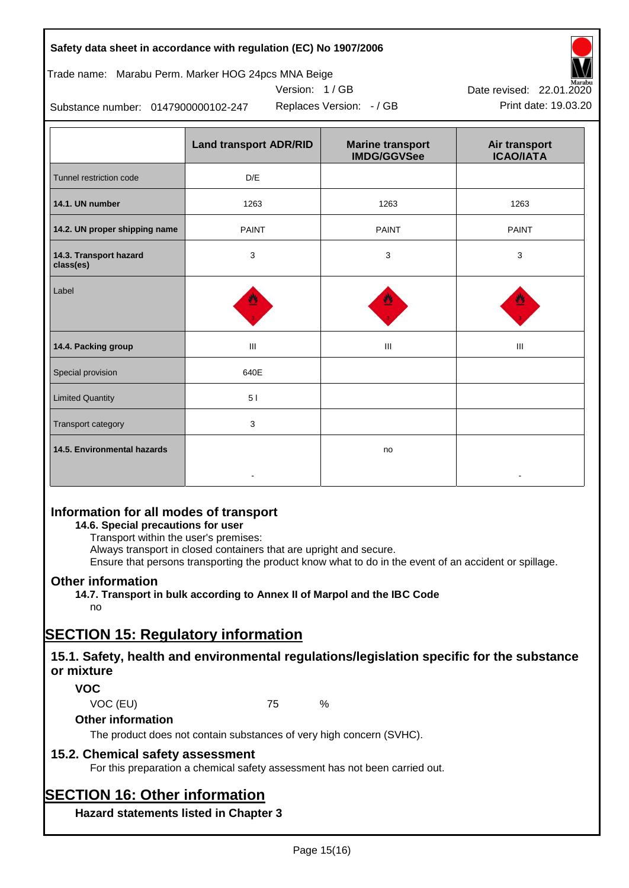| Safety data sheet in accordance with regulation (EC) No 1907/2006 |  |
|-------------------------------------------------------------------|--|
|-------------------------------------------------------------------|--|

## Trade name: Marabu Perm. Marker HOG 24pcs MNA Beige

Version: 1 / GB



Substance number: 0147900000102-247

|                                     | <b>Land transport ADR/RID</b> | <b>Marine transport</b><br><b>IMDG/GGVSee</b> | Air transport<br><b>ICAO/IATA</b> |
|-------------------------------------|-------------------------------|-----------------------------------------------|-----------------------------------|
| Tunnel restriction code             | D/E                           |                                               |                                   |
| 14.1. UN number                     | 1263                          | 1263                                          | 1263                              |
| 14.2. UN proper shipping name       | <b>PAINT</b>                  | <b>PAINT</b>                                  | <b>PAINT</b>                      |
| 14.3. Transport hazard<br>class(es) | 3                             | 3                                             | 3                                 |
| Label                               |                               |                                               |                                   |
| 14.4. Packing group                 | Ш                             | Ш                                             | Ш                                 |
| Special provision                   | 640E                          |                                               |                                   |
| <b>Limited Quantity</b>             | 51                            |                                               |                                   |
| Transport category                  | 3                             |                                               |                                   |
| 14.5. Environmental hazards         |                               | no                                            |                                   |

## **Information for all modes of transport**

## **14.6. Special precautions for user**

Transport within the user's premises:

Always transport in closed containers that are upright and secure.

Ensure that persons transporting the product know what to do in the event of an accident or spillage.

## **Other information**

**14.7. Transport in bulk according to Annex II of Marpol and the IBC Code**

# no

# **SECTION 15: Regulatory information**

## **15.1. Safety, health and environmental regulations/legislation specific for the substance or mixture**

## **VOC**

VOC (EU) 75 %

## **Other information**

The product does not contain substances of very high concern (SVHC).

## **15.2. Chemical safety assessment**

For this preparation a chemical safety assessment has not been carried out.

# **SECTION 16: Other information**

**Hazard statements listed in Chapter 3**